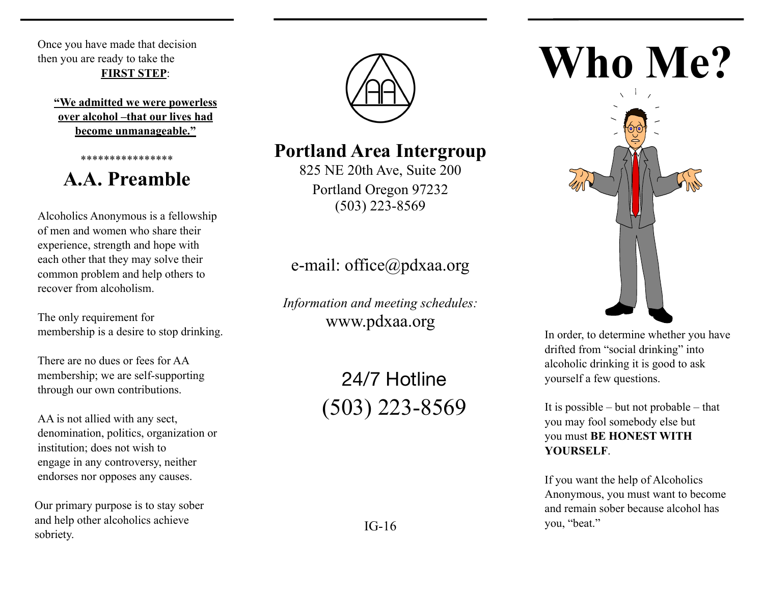Once you have made that decision then you are ready to take the **FIRST STEP**:

**"We admitted we were powerless over alcohol –that our lives had become unmanageable."**

## **A.A. Preamble**

\*\*\*\*\*\*\*\*\*\*\*\*\*\*\*\*

Alcoholics Anonymous is a fellowship of men and women who share their experience, strength and hope with each other that they may solve their common problem and help others to recover from alcoholism.

The only requirement for membership is a desire to stop drinking.

There are no dues or fees for AA membership; we are self-supporting through our own contributions.

AA is not allied with any sect, denomination, politics, organization or institution; does not wish to engage in any controversy, neither endorses nor opposes any causes.

 Our primary purpose is to stay sober and help other alcoholics achieve sobriety.



#### **Portland Area Intergroup**

825 NE 20th Ave, Suite 200 Portland Oregon 97232 (503) 223-8569

#### e-mail: office@pdxaa.org

*Information and meeting schedules:* www.pdxaa.org

> 24/7 Hotline (503) 223-8569

> > IG-16

# **Who Me?**



In order, to determine whether you have drifted from "social drinking" into alcoholic drinking it is good to ask yourself a few questions.

It is possible – but not probable – that you may fool somebody else but you must **BE HONEST WITH YOURSELF**.

If you want the help of Alcoholics Anonymous, you must want to become and remain sober because alcohol has you, "beat."